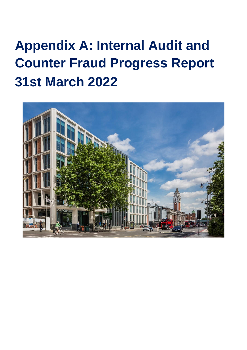# **Appendix A: Internal Audit and Counter Fraud Progress Report 31st March 2022**

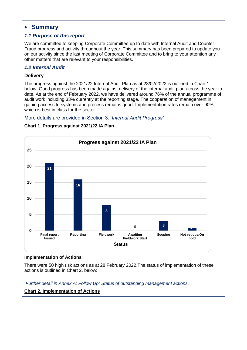# **Summary**

# *1.1 Purpose of this report*

We are committed to keeping Corporate Committee up to date with Internal Audit and Counter Fraud progress and activity throughout the year. This summary has been prepared to update you on our activity since the last meeting of Corporate Committee and to bring to your attention any other matters that are relevant to your responsibilities.

# *1.2 Internal Audit*

## **Delivery**

The progress against the 2021/22 Internal Audit Plan as at 28/02/2022 is outlined in Chart 1 below. Good progress has been made against delivery of the internal audit plan across the year to date. As at the end of February 2022, we have delivered around 76% of the annual programme of audit work including 33% currently at the reporting stage. The cooperation of management in gaining access to systems and process remains good. Implementation rates remain over 90%, which is best in class for the sector.

#### More details are provided in Section 3: '*Internal Audit Progress'.*

# **21 16 8 0 3 1 0 5 10 15 20 25 Final report Issued Reporting Fieldwork Awaiting Fieldwork Start Scoping Not yet due/On hold Status Progress against 2021/22 IA Plan**

# **Chart 1. Progress against 2021/22 IA Plan**

#### **Implementation of Actions**

There were 50 high risk actions as at 28 February 2022.The status of implementation of these actions is outlined in Chart 2. below:

*Further detail in Annex A: Follow Up: Status of outstanding management actions.* **Chart 2. Implementation of Actions**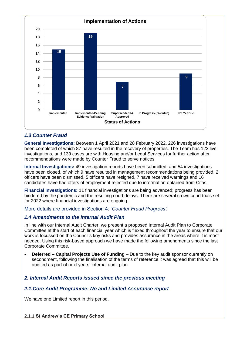![](_page_2_Figure_0.jpeg)

# *1.3 Counter Fraud*

**General Investigations:** Between 1 April 2021 and 28 February 2022, 226 investigations have been completed of which 87 have resulted in the recovery of properties. The Team has 123 live investigations, and 139 cases are with Housing and/or Legal Services for further action after recommendations were made by Counter Fraud to serve notices.

**Internal Investigations:** 49 investigation reports have been submitted, and 54 investigations have been closed, of which 9 have resulted in management recommendations being provided, 2 officers have been dismissed, 5 officers have resigned, 7 have received warnings and 16 candidates have had offers of employment rejected due to information obtained from Cifas.

**Financial Investigations:** 11 financial investigations are being advanced; progress has been hindered by the pandemic and the resulting court delays. There are several crown court trials set for 2022 where financial investigations are ongoing.

More details are provided in Section 4: '*Counter Fraud Progress'.*

# *1.4 Amendments to the Internal Audit Plan*

In line with our Internal Audit Charter, we present a proposed Internal Audit Plan to Corporate Committee at the start of each financial year which is flexed throughout the year to ensure that our work is focussed on the Council's key risks and provides assurance in the areas where it is most needed. Using this risk-based approach we have made the following amendments since the last Corporate Committee.

- **Deferred – Capital Projects Use of Funding** Due to the key audit sponsor currently on secondment, following the finalisation of the terms of reference it was agreed that this will be audited as part of next years' internal audit plan.
- *2. Internal Audit Reports issued since the previous meeting*

# *2.1.Core Audit Programme: No and Limited Assurance report*

We have one Limited report in this period.

#### 2.1.1 **St Andrew's CE Primary School**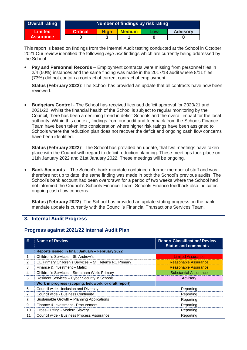| <b>Critical</b><br><b>Limited</b><br><b>Medium</b><br><b>High</b><br><b>Advisory</b><br>Low<br><b>Assurance</b><br>3<br>1<br>$\bf{0}$<br>$\bf{0}$<br>$\bf{0}$<br>This report is based on findings from the Internal Audit testing conducted at the School in October<br>2021. Our review identified the following <i>high-risk</i> findings which are currently being addressed by<br>Pay and Personnel Records – Employment contracts were missing from personnel files in<br>2/4 (50%) instances and the same finding was made in the 2017/18 audit where 8/11 files<br>(73%) did not contain a contract of current contract of employment.<br>Status (February 2022): The School has provided an update that all contracts have now been<br>reviewed.<br><b>Budgetary Control</b> - The School has received licensed deficit approval for 2020/21 and<br>2021/22. Whilst the financial health of the School is subject to regular monitoring by the<br>Council, there has been a declining trend in deficit Schools and the overall impact for the local<br>authority. Within this context, findings from our audit and feedback from the Schools Finance<br>Team have been taken into consideration where higher risk ratings have been assigned to<br>Schools where the reduction plan does not recover the deficit and ongoing cash flow concerns<br>have been identified.<br>Status (February 2022): The School has provided an update, that two meetings have taken<br>place with the Council with regard to deficit reduction planning. These meetings took place on<br>11th January 2022 and 21st January 2022. These meetings will be ongoing.<br><b>Bank Accounts</b> – The School's bank mandate contained a former member of staff and was<br>therefore not up to date; the same finding was made in both the School's previous audits. The<br>School's bank account had been overdrawn for a period of two weeks where the School had<br>not informed the Council's Schools Finance Team. Schools Finance feedback also indicates<br>ongoing cash flow concerns.<br>Status (February 2022): The School has provided an update stating progress on the bank<br>mandate update is currently with the Council's Financial Transactions Services Team. | <b>Overall rating</b> |  |  | Number of findings by risk rating |  |           |  |  |  |
|-------------------------------------------------------------------------------------------------------------------------------------------------------------------------------------------------------------------------------------------------------------------------------------------------------------------------------------------------------------------------------------------------------------------------------------------------------------------------------------------------------------------------------------------------------------------------------------------------------------------------------------------------------------------------------------------------------------------------------------------------------------------------------------------------------------------------------------------------------------------------------------------------------------------------------------------------------------------------------------------------------------------------------------------------------------------------------------------------------------------------------------------------------------------------------------------------------------------------------------------------------------------------------------------------------------------------------------------------------------------------------------------------------------------------------------------------------------------------------------------------------------------------------------------------------------------------------------------------------------------------------------------------------------------------------------------------------------------------------------------------------------------------------------------------------------------------------------------------------------------------------------------------------------------------------------------------------------------------------------------------------------------------------------------------------------------------------------------------------------------------------------------------------------------------------------------------------------------------------------------------------------------|-----------------------|--|--|-----------------------------------|--|-----------|--|--|--|
|                                                                                                                                                                                                                                                                                                                                                                                                                                                                                                                                                                                                                                                                                                                                                                                                                                                                                                                                                                                                                                                                                                                                                                                                                                                                                                                                                                                                                                                                                                                                                                                                                                                                                                                                                                                                                                                                                                                                                                                                                                                                                                                                                                                                                                                                   |                       |  |  |                                   |  |           |  |  |  |
|                                                                                                                                                                                                                                                                                                                                                                                                                                                                                                                                                                                                                                                                                                                                                                                                                                                                                                                                                                                                                                                                                                                                                                                                                                                                                                                                                                                                                                                                                                                                                                                                                                                                                                                                                                                                                                                                                                                                                                                                                                                                                                                                                                                                                                                                   |                       |  |  |                                   |  |           |  |  |  |
|                                                                                                                                                                                                                                                                                                                                                                                                                                                                                                                                                                                                                                                                                                                                                                                                                                                                                                                                                                                                                                                                                                                                                                                                                                                                                                                                                                                                                                                                                                                                                                                                                                                                                                                                                                                                                                                                                                                                                                                                                                                                                                                                                                                                                                                                   | the School:           |  |  |                                   |  |           |  |  |  |
|                                                                                                                                                                                                                                                                                                                                                                                                                                                                                                                                                                                                                                                                                                                                                                                                                                                                                                                                                                                                                                                                                                                                                                                                                                                                                                                                                                                                                                                                                                                                                                                                                                                                                                                                                                                                                                                                                                                                                                                                                                                                                                                                                                                                                                                                   |                       |  |  |                                   |  |           |  |  |  |
|                                                                                                                                                                                                                                                                                                                                                                                                                                                                                                                                                                                                                                                                                                                                                                                                                                                                                                                                                                                                                                                                                                                                                                                                                                                                                                                                                                                                                                                                                                                                                                                                                                                                                                                                                                                                                                                                                                                                                                                                                                                                                                                                                                                                                                                                   | #                     |  |  |                                   |  |           |  |  |  |
| <b>Name of Review</b>                                                                                                                                                                                                                                                                                                                                                                                                                                                                                                                                                                                                                                                                                                                                                                                                                                                                                                                                                                                                                                                                                                                                                                                                                                                                                                                                                                                                                                                                                                                                                                                                                                                                                                                                                                                                                                                                                                                                                                                                                                                                                                                                                                                                                                             |                       |  |  |                                   |  |           |  |  |  |
| Reports issued in final: January - February 2022                                                                                                                                                                                                                                                                                                                                                                                                                                                                                                                                                                                                                                                                                                                                                                                                                                                                                                                                                                                                                                                                                                                                                                                                                                                                                                                                                                                                                                                                                                                                                                                                                                                                                                                                                                                                                                                                                                                                                                                                                                                                                                                                                                                                                  | 1                     |  |  |                                   |  |           |  |  |  |
| Children's Services - St. Andrew's                                                                                                                                                                                                                                                                                                                                                                                                                                                                                                                                                                                                                                                                                                                                                                                                                                                                                                                                                                                                                                                                                                                                                                                                                                                                                                                                                                                                                                                                                                                                                                                                                                                                                                                                                                                                                                                                                                                                                                                                                                                                                                                                                                                                                                | 2                     |  |  |                                   |  |           |  |  |  |
| CE Primary Children's Services - St. Helen's RC Primary                                                                                                                                                                                                                                                                                                                                                                                                                                                                                                                                                                                                                                                                                                                                                                                                                                                                                                                                                                                                                                                                                                                                                                                                                                                                                                                                                                                                                                                                                                                                                                                                                                                                                                                                                                                                                                                                                                                                                                                                                                                                                                                                                                                                           | 3                     |  |  |                                   |  |           |  |  |  |
| Finance & Investment - Matrix                                                                                                                                                                                                                                                                                                                                                                                                                                                                                                                                                                                                                                                                                                                                                                                                                                                                                                                                                                                                                                                                                                                                                                                                                                                                                                                                                                                                                                                                                                                                                                                                                                                                                                                                                                                                                                                                                                                                                                                                                                                                                                                                                                                                                                     | $\overline{4}$        |  |  |                                   |  |           |  |  |  |
| <b>Report Classification/ Review</b><br><b>Status and comments</b><br><b>Limited Assurance</b><br><b>Reasonable Assurance</b><br><b>Reasonable Assurance</b><br>Children's Services - Streatham Wells Primary<br><b>Substantial Assurance</b>                                                                                                                                                                                                                                                                                                                                                                                                                                                                                                                                                                                                                                                                                                                                                                                                                                                                                                                                                                                                                                                                                                                                                                                                                                                                                                                                                                                                                                                                                                                                                                                                                                                                                                                                                                                                                                                                                                                                                                                                                     | 5                     |  |  |                                   |  |           |  |  |  |
| Resident Services - Cyber Security in Schools<br>Advisory                                                                                                                                                                                                                                                                                                                                                                                                                                                                                                                                                                                                                                                                                                                                                                                                                                                                                                                                                                                                                                                                                                                                                                                                                                                                                                                                                                                                                                                                                                                                                                                                                                                                                                                                                                                                                                                                                                                                                                                                                                                                                                                                                                                                         | 6                     |  |  |                                   |  |           |  |  |  |
| Work in progress (scoping, fieldwork, or draft report)                                                                                                                                                                                                                                                                                                                                                                                                                                                                                                                                                                                                                                                                                                                                                                                                                                                                                                                                                                                                                                                                                                                                                                                                                                                                                                                                                                                                                                                                                                                                                                                                                                                                                                                                                                                                                                                                                                                                                                                                                                                                                                                                                                                                            | $\overline{7}$        |  |  |                                   |  |           |  |  |  |
| Council wide - Inclusion and Diversity<br>Reporting                                                                                                                                                                                                                                                                                                                                                                                                                                                                                                                                                                                                                                                                                                                                                                                                                                                                                                                                                                                                                                                                                                                                                                                                                                                                                                                                                                                                                                                                                                                                                                                                                                                                                                                                                                                                                                                                                                                                                                                                                                                                                                                                                                                                               | 8                     |  |  |                                   |  | Reporting |  |  |  |
| Council wide - Business Continuity<br>Reporting<br>Sustainable Growth - Planning Applications                                                                                                                                                                                                                                                                                                                                                                                                                                                                                                                                                                                                                                                                                                                                                                                                                                                                                                                                                                                                                                                                                                                                                                                                                                                                                                                                                                                                                                                                                                                                                                                                                                                                                                                                                                                                                                                                                                                                                                                                                                                                                                                                                                     |                       |  |  |                                   |  |           |  |  |  |

9 Finance & Investment - Procurement Reporting Reporting 10 Cross-Cutting - Modern Slavery **Reporting** Reporting 11 Council wide - Business Process Assurance Reporting Reporting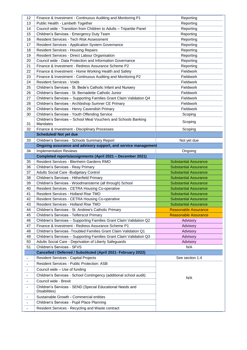| 12                       | Finance & Investment - Continuous Auditing and Monitoring P1               | Reporting                    |
|--------------------------|----------------------------------------------------------------------------|------------------------------|
| 13                       | Public Health - Lambeth Together                                           | Reporting                    |
| 14                       | Council wide - Transition from Children to Adults - Tripartite Panel       | Reporting                    |
| 15                       | Children's Services - Emergency Duty Team                                  | Reporting                    |
| 16                       | Resident Services - Tech Risk Assessment                                   | Reporting                    |
| 17                       | <b>Resident Services - Application System Governance</b>                   | Reporting                    |
| 18                       | <b>Resident Services - Housing Repairs</b>                                 | Reporting                    |
| 19                       | Resident Services - Direct Labour Organisation                             | Reporting                    |
| 20                       | Council wide - Data Protection and Information Governance                  | Reporting                    |
| 21                       | Finance & Investment - Redress Assurance Scheme P2                         | Reporting                    |
| 22                       | Finance & Investment - Home Working Health and Safety                      | Fieldwork                    |
| 23                       | Finance & Investment - Continuous Auditing and Monitoring P2               | <b>Fieldwork</b>             |
| 24                       | <b>Resident Services - Voids</b>                                           | Fieldwork                    |
| 25                       | Children's Services - St. Bede's Catholic Infant and Nursery               | Fieldwork                    |
| 26                       | Children's Services - St. Bernadette Catholic Junior                       | <b>Fieldwork</b>             |
| 27                       | Children's Services - Supporting Families Grant Claim Validation Q4        | Fieldwork                    |
| 28                       | Children's Services - Archbishop Sumner CE Primary                         | Fieldwork                    |
| 29                       | Children's Services - Henry Cavendish Primary                              | <b>Fieldwork</b>             |
| 30                       | Children's Services - Youth Offending Service                              | Scoping                      |
|                          | Children's Services - School Meal Vouchers and Schools Banking             |                              |
| 31                       | Mandates                                                                   | Scoping                      |
| 32                       | Finance & Investment - Disciplinary Processes                              | Scoping                      |
|                          | <b>Scheduled/Not yet due</b>                                               |                              |
| 33                       | Children's Services - Schools Summary Report                               | Not yet due                  |
|                          | Ongoing assurance and advisory support, and service management             |                              |
| 34                       | <b>Implementation Reviews</b>                                              | Ongoing                      |
|                          | Completed reports/assignments (April 2021 - December 2021)                 |                              |
| 35                       | Resident Services - Blenheim Gardens RMO                                   | <b>Substantial Assurance</b> |
| 36                       | Children's Services - Reay Primary                                         | <b>Substantial Assurance</b> |
| 37                       | Adults Social Care - Budgetary Control                                     | <b>Substantial Assurance</b> |
| 38                       | Children's Services - Hitherfield Primary                                  | Substantial Assurance        |
| 39                       | Children's Services - Woodmansterne (all through) School                   | <b>Substantial Assurance</b> |
| 40                       | Resident Services - CETRA Housing Co-operative                             | <b>Substantial Assurance</b> |
| 41                       | Resident Services - Holland Rise TMO                                       | <b>Substantial Assurance</b> |
| 42                       | Resident Services - CETRA Housing Co-operative                             | Substantial Assurance        |
| 43                       | Resident Services - Holland Rise TMO                                       | <b>Substantial Assurance</b> |
| 44                       | Children's Services - St. Andrew's Catholic Primary                        | <b>Reasonable Assurance</b>  |
| 45                       | Children's Services - Telferscot Primary                                   | <b>Reasonable Assurance</b>  |
| 46                       | Children's Services - Supporting Families Grant Claim Validation Q2        | Advisory                     |
| 47                       | Finance & Investment - Redress Assurance Scheme P1                         | Advisory                     |
| 48                       | Children's Services - Troubled Families Grant Claim Validation Q1          | Advisory                     |
| 49                       | Children's Services - Supporting Families Grant Claim Validation Q3        | Advisory                     |
| 50                       | Adults Social Care - Deprivation of Liberty Safeguards                     | Advisory                     |
| 51                       | Children's Services - SFVS                                                 | N/A                          |
|                          | Cancelled / Deferred / Substituted (April 2021- February 2022)             |                              |
| $\overline{\phantom{a}}$ | <b>Resident Services - Capital Projects</b>                                | See section 1.4              |
| $\overline{\phantom{a}}$ | Resident Services - Public Protection: ASB                                 |                              |
|                          | Council wide - Use of funding                                              |                              |
| $\blacksquare$           |                                                                            |                              |
| $\blacksquare$           | Children's Services - School Contingency (additional school audit)         | N/A                          |
| $\overline{\phantom{a}}$ | Council wide - Brexit                                                      |                              |
| $\blacksquare$           | Children's Services - SEND (Special Educational Needs and<br>Disabilities) |                              |
|                          | Sustainable Growth - Commercial entities                                   |                              |
| $\blacksquare$           |                                                                            |                              |
|                          | Children's Services - Pupil Place Planning                                 |                              |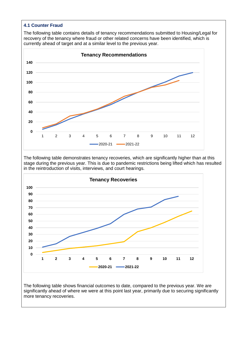#### **4.1 Counter Fraud**

The following table contains details of tenancy recommendations submitted to Housing/Legal for recovery of the tenancy where fraud or other related concerns have been identified, which is currently ahead of target and at a similar level to the previous year.

![](_page_5_Figure_2.jpeg)

The following table demonstrates tenancy recoveries, which are significantly higher than at this stage during the previous year. This is due to pandemic restrictions being lifted which has resulted in the reintroduction of visits, interviews, and court hearings.

![](_page_5_Figure_4.jpeg)

The following table shows financial outcomes to date, compared to the previous year. We are significantly ahead of where we were at this point last year, primarily due to securing significantly more tenancy recoveries.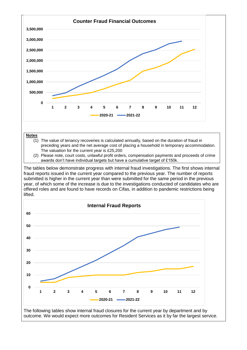![](_page_6_Figure_0.jpeg)

![](_page_6_Figure_1.jpeg)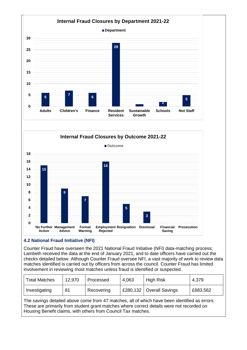![](_page_7_Figure_0.jpeg)

![](_page_7_Figure_1.jpeg)

#### **4.2 National Fraud Initiative (NFI)**

Counter Fraud have overseen the 2021 National Fraud Initiative (NFI) data-matching process; Lambeth received the data at the end of January 2021, and to date officers have carried out the checks detailed below. Although Counter Fraud oversee NFI, a vast majority of work to review data matches identified is carried out by officers from across the council. Counter Fraud has limited involvement in reviewing most matches unless fraud is identified or suspected.

| <b>Total Matches</b> | 12,970 | Processed  | 4,063 | <b>High Risk</b>           | 4,379    |
|----------------------|--------|------------|-------|----------------------------|----------|
| Investigating        | 81     | Recovering |       | £280,132   Overall Savings | £683,562 |

The savings detailed above come from 47 matches, all of which have been identified as errors. These are primarily from student grant matches where correct details were not recorded on Housing Benefit claims, with others from Council Tax matches.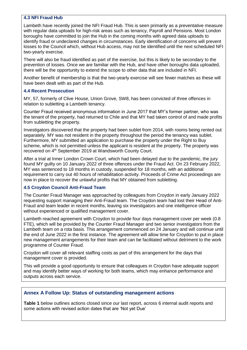#### **4.3 NFI Fraud Hub**

Lambeth have recently joined the NFI Fraud Hub. This is seen primarily as a preventative measure with regular data uploads for high-risk areas such as tenancy, Payroll and Pensions. Most London boroughs have committed to join the Hub in the coming months with agreed data uploads to identify fraud or undeclared changes in circumstances. Early identification of concerns will prevent losses to the Council which, without Hub access, may not be identified until the next scheduled NFI two-yearly exercise.

There will also be fraud identified as part of the exercise, but this is likely to be secondary to the prevention of losses. Once we are familiar with the Hub, and have other boroughs data uploaded, there will be the opportunity to extend the scope to other data that are included in NFI.

Another benefit of membership is that the two-yearly exercise will see fewer matches as these will have been dealt with as part of the Hub.

#### **4.4 Recent Prosecution**

MY, 57, formerly of Clive House, Union Grove, SW8, has been convicted of three offences in relation to subletting a Lambeth tenancy.

Counter Fraud received anonymous information in June 2017 that MY's former partner, who was the tenant of the property, had returned to Chile and that MY had taken control of and made profits from subletting the property.

Investigators discovered that the property had been sublet from 2014, with rooms being rented out separately. MY was not resident in the property throughout the period the tenancy was sublet. Furthermore, MY submitted an application to purchase the property under the Right to Buy scheme, which is not permitted unless the applicant is resident at the property. The property was recovered on 4th September 2019 at Wandsworth County Court.

After a trial at Inner London Crown Court, which had been delayed due to the pandemic, the jury found MY guilty on 10 January 2022 of three offences under the Fraud Act. On 23 February 2022, MY was sentenced to 18 months in custody, suspended for 18 months, with an additional requirement to carry out 40 hours of rehabilitation activity. Proceeds of Crime Act proceedings are now in place to recover the unlawful profits that MY obtained from subletting.

#### **4.5 Croydon Council Anti-Fraud Team**

The Counter Fraud Manager was approached by colleagues from Croydon in early January 2022 requesting support managing their Anti-Fraud team. The Croydon team had lost their Head of Anti-Fraud and team leader in recent months, leaving six investigators and one intelligence officer without experienced or qualified management cover.

Lambeth reached agreement with Croydon to provide four days management cover per week (0.8 FTE), which will be provided by the Counter Fraud Manager and two senior investigators from the Lambeth team on a rota basis. This arrangement commenced on 24 January and will continue until the end of June 2022 in the first instance. The agreement will allow time for Croydon to put in place new management arrangements for their team and can be facilitated without detriment to the work programme of Counter Fraud.

Croydon will cover all relevant staffing costs as part of this arrangement for the days that management cover is provided.

This will provide a good opportunity to ensure that colleagues in Croydon have adequate support and may identify better ways of working for both teams, which may enhance performance and outputs across each service.

#### **Annex A Follow Up: Status of outstanding management actions**

**Table 1** below outlines actions closed since our last report, across 6 internal audit reports and some actions with revised action dates that are 'Not yet Due'